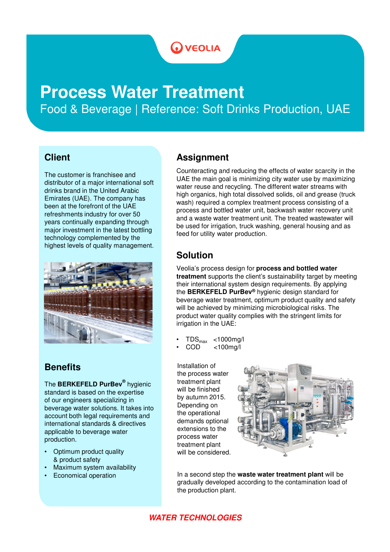# **WEOLIA**

# **Process Water Treatment** Food & Beverage | Reference: Soft Drinks Production, UAE

#### **Client**

The customer is franchisee and distributor of a major international soft drinks brand in the United Arabic Emirates (UAE). The company has been at the forefront of the UAE refreshments industry for over 50 years continually expanding through major investment in the latest bottling technology complemented by the highest levels of quality management.



### **Benefits**

The **BERKEFELD PurBev®** hygienic standard is based on the expertise of our engineers specializing in beverage water solutions. It takes into account both legal requirements and international standards & directives applicable to beverage water production.

- Optimum product quality & product safety
- Maximum system availability
- Economical operation

## **Assignment**

Counteracting and reducing the effects of water scarcity in the UAE the main goal is minimizing city water use by maximizing water reuse and recycling. The different water streams with high organics, high total dissolved solids, oil and grease (truck wash) required a complex treatment process consisting of a process and bottled water unit, backwash water recovery unit and a waste water treatment unit. The treated wastewater will be used for irrigation, truck washing, general housing and as feed for utility water production.

### **Solution**

Veolia's process design for **process and bottled water treatment** supports the client's sustainability target by meeting their international system design requirements. By applying the **BERKEFELD PurBev®** hygienic design standard for beverage water treatment, optimum product quality and safety will be achieved by minimizing microbiological risks. The product water quality complies with the stringent limits for irrigation in the UAE:

- $TDS_{\text{max}}$  <1000mg/l<br>COD <100mg/l
- $<$ 100mg/l

Installation of the process water treatment plant will be finished by autumn 2015. Depending on the operational demands optional extensions to the process water treatment plant will be considered.



In a second step the **waste water treatment plant** will be gradually developed according to the contamination load of the production plant.